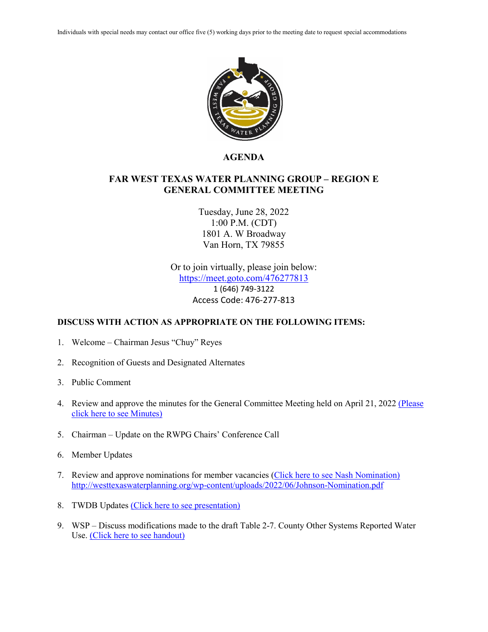

## **AGENDA**

## **FAR WEST TEXAS WATER PLANNING GROUP – REGION E GENERAL COMMITTEE MEETING**

Tuesday, June 28, 2022 1:00 P.M. (CDT) 1801 A. W Broadway Van Horn, TX 79855

Or to join virtually, please join below: <https://meet.goto.com/476277813> 1 (646) 749-3122 Access Code: 476-277-813

## **DISCUSS WITH ACTION AS APPROPRIATE ON THE FOLLOWING ITEMS:**

- 1. Welcome Chairman Jesus "Chuy" Reyes
- 2. Recognition of Guests and Designated Alternates
- 3. Public Comment
- 4. Review and approve the minutes for the General Committee Meeting held on April 21, 2022 (Please [click here to see Minutes\)](http://westtexaswaterplanning.org/wp-content/uploads/2022/06/4.21.22.FWTWPG.Minutes.pdf)
- 5. Chairman Update on the RWPG Chairs' Conference Call
- 6. Member Updates
- 7. Review and approve nominations for member vacancies [\(Click here to see Nash Nomination\)](http://westtexaswaterplanning.org/wp-content/uploads/2022/06/Nash-nomination.pdf) http://westtexaswaterplanning.org/wp-content/uploads/2022/06/Johnson-Nomination.pdf
- 8. TWDB Updates [\(Click here to see presentation\)](http://westtexaswaterplanning.org/wp-content/uploads/2022/06/Agenda-item-8.-TWDB-Update.pdf)
- 9. WSP Discuss modifications made to the draft Table 2-7. County Other Systems Reported Water Use. [\(Click here to see handout\)](http://westtexaswaterplanning.org/wp-content/uploads/2022/06/Handout-1-Draft-Table-2-7.-County-Other-Systems-Reported-Water-Use.pdf)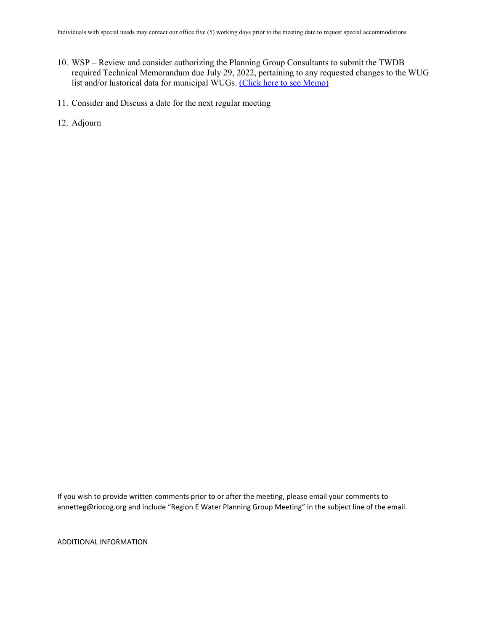- 10. WSP Review and consider authorizing the Planning Group Consultants to submit the TWDB required Technical Memorandum due July 29, 2022, pertaining to any requested changes to the WUG list and/or historical data for municipal WUGs. [\(Click here to see Memo\)](http://westtexaswaterplanning.org/wp-content/uploads/2022/06/Region-E-Municipal-WUG-and-County-Other-Water-Systems-Memo-Submittal_6-28-22.pdf)
- 11. Consider and Discuss a date for the next regular meeting
- 12. Adjourn

If you wish to provide written comments prior to or after the meeting, please email your comments to annetteg@riocog.org and include "Region E Water Planning Group Meeting" in the subject line of the email.

ADDITIONAL INFORMATION